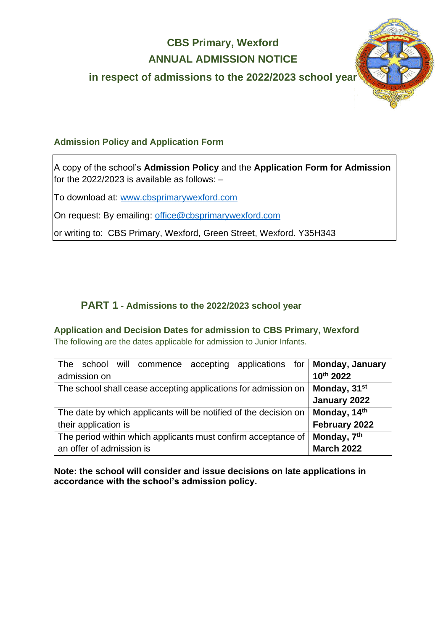# **CBS Primary, Wexford ANNUAL ADMISSION NOTICE**

**in respect of admissions to the 2022/2023 school year**



### **Admission Policy and Application Form**

A copy of the school's **Admission Policy** and the **Application Form for Admission** for the 2022/2023 is available as follows: –

To download at: www.cbsprimarywexford.com

On request: By emailing: [office@cbsprimarywexford.com](mailto:office@cbsprimarywexford.com)

or writing to: CBS Primary, Wexford, Green Street, Wexford. Y35H343

## **PART 1 - Admissions to the 2022/2023 school year**

**Application and Decision Dates for admission to CBS Primary, Wexford**

The following are the dates applicable for admission to Junior Infants.

| school will commence accepting applications for <b>Monday, January</b><br>The |                          |
|-------------------------------------------------------------------------------|--------------------------|
| admission on                                                                  | 10th 2022                |
| The school shall cease accepting applications for admission on                | Monday, 31 <sup>st</sup> |
|                                                                               | January 2022             |
| The date by which applicants will be notified of the decision on              | Monday, 14 <sup>th</sup> |
| their application is                                                          | February 2022            |
| The period within which applicants must confirm acceptance of                 | Monday, 7 <sup>th</sup>  |
| an offer of admission is                                                      | <b>March 2022</b>        |

**Note: the school will consider and issue decisions on late applications in accordance with the school's admission policy.**